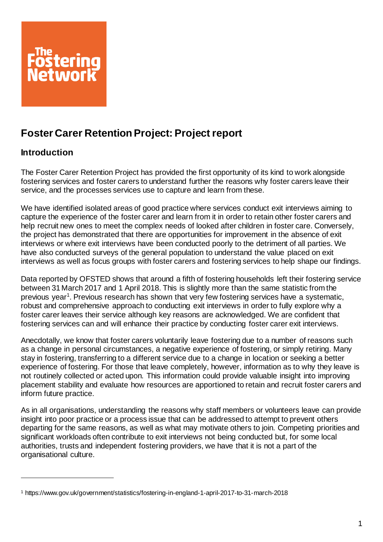

# **Foster Carer Retention Project: Project report**

## **Introduction**

l

The Foster Carer Retention Project has provided the first opportunity of its kind to work alongside fostering services and foster carers to understand further the reasons why foster carers leave their service, and the processes services use to capture and learn from these.

We have identified isolated areas of good practice where services conduct exit interviews aiming to capture the experience of the foster carer and learn from it in order to retain other foster carers and help recruit new ones to meet the complex needs of looked after children in foster care. Conversely, the project has demonstrated that there are opportunities for improvement in the absence of exit interviews or where exit interviews have been conducted poorly to the detriment of all parties. We have also conducted surveys of the general population to understand the value placed on exit interviews as well as focus groups with foster carers and fostering services to help shape our findings.

Data reported by OFSTED shows that around a fifth of fostering households left their fostering service between 31 March 2017 and 1 April 2018. This is slightly more than the same statistic from the previous year<sup>1</sup>. Previous research has shown that very few fostering services have a systematic, robust and comprehensive approach to conducting exit interviews in order to fully explore why a foster carer leaves their service although key reasons are acknowledged. We are confident that fostering services can and will enhance their practice by conducting foster carer exit interviews.

Anecdotally, we know that foster carers voluntarily leave fostering due to a number of reasons such as a change in personal circumstances, a negative experience of fostering, or simply retiring. Many stay in fostering, transferring to a different service due to a change in location or seeking a better experience of fostering. For those that leave completely, however, information as to why they leave is not routinely collected or acted upon. This information could provide valuable insight into improving placement stability and evaluate how resources are apportioned to retain and recruit foster carers and inform future practice.

As in all organisations, understanding the reasons why staff members or volunteers leave can provide insight into poor practice or a process issue that can be addressed to attempt to prevent others departing for the same reasons, as well as what may motivate others to join. Competing priorities and significant workloads often contribute to exit interviews not being conducted but, for some local authorities, trusts and independent fostering providers, we have that it is not a part of the organisational culture.

<sup>1</sup> https://www.gov.uk/government/statistics/fostering-in-england-1-april-2017-to-31-march-2018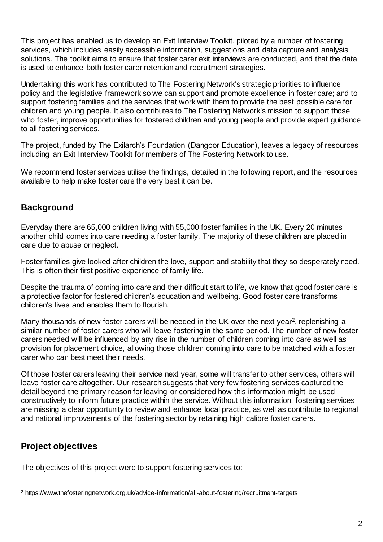This project has enabled us to develop an Exit Interview Toolkit, piloted by a number of fostering services, which includes easily accessible information, suggestions and data capture and analysis solutions. The toolkit aims to ensure that foster carer exit interviews are conducted, and that the data is used to enhance both foster carer retention and recruitment strategies.

Undertaking this work has contributed to The Fostering Network's strategic priorities to influence policy and the legislative framework so we can support and promote excellence in foster care; and to support fostering families and the services that work with them to provide the best possible care for children and young people. It also contributes to The Fostering Network's mission to support those who foster, improve opportunities for fostered children and young people and provide expert guidance to all fostering services.

The project, funded by The Exilarch's Foundation (Dangoor Education), leaves a legacy of resources including an Exit Interview Toolkit for members of The Fostering Network to use.

We recommend foster services utilise the findings, detailed in the following report, and the resources available to help make foster care the very best it can be.

## **Background**

Everyday there are 65,000 children living with 55,000 foster families in the UK. Every 20 minutes another child comes into care needing a foster family. The majority of these children are placed in care due to abuse or neglect.

Foster families give looked after children the love, support and stability that they so desperately need. This is often their first positive experience of family life.

Despite the trauma of coming into care and their difficult start to life, we know that good foster care is a protective factor for fostered children's education and wellbeing. Good foster care transforms children's lives and enables them to flourish.

Many thousands of new foster carers will be needed in the UK over the next year<sup>2</sup>, replenishing a similar number of foster carers who will leave fostering in the same period. The number of new foster carers needed will be influenced by any rise in the number of children coming into care as well as provision for placement choice, allowing those children coming into care to be matched with a foster carer who can best meet their needs.

Of those foster carers leaving their service next year, some will transfer to other services, others will leave foster care altogether. Our research suggests that very few fostering services captured the detail beyond the primary reason for leaving or considered how this information might be used constructively to inform future practice within the service. Without this information, fostering services are missing a clear opportunity to review and enhance local practice, as well as contribute to regional and national improvements of the fostering sector by retaining high calibre foster carers.

## **Project objectives**

l

The objectives of this project were to support fostering services to:

<sup>2</sup> https://www.thefosteringnetwork.org.uk/advice-information/all-about-fostering/recruitment-targets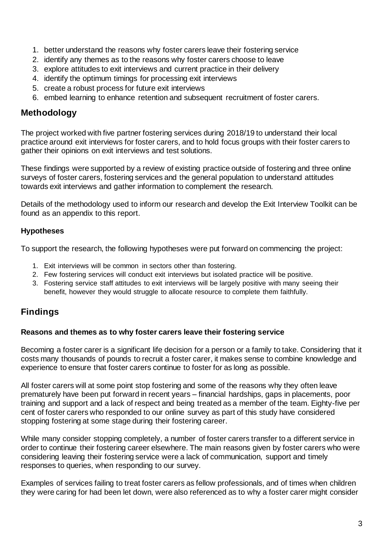- 1. better understand the reasons why foster carers leave their fostering service
- 2. identify any themes as to the reasons why foster carers choose to leave
- 3. explore attitudes to exit interviews and current practice in their delivery
- 4. identify the optimum timings for processing exit interviews
- 5. create a robust process for future exit interviews
- 6. embed learning to enhance retention and subsequent recruitment of foster carers.

### **Methodology**

The project worked with five partner fostering services during 2018/19 to understand their local practice around exit interviews for foster carers, and to hold focus groups with their foster carers to gather their opinions on exit interviews and test solutions.

These findings were supported by a review of existing practice outside of fostering and three online surveys of foster carers, fostering services and the general population to understand attitudes towards exit interviews and gather information to complement the research.

Details of the methodology used to inform our research and develop the Exit Interview Toolkit can be found as an appendix to this report.

### **Hypotheses**

To support the research, the following hypotheses were put forward on commencing the project:

- 1. Exit interviews will be common in sectors other than fostering.
- 2. Few fostering services will conduct exit interviews but isolated practice will be positive.
- 3. Fostering service staff attitudes to exit interviews will be largely positive with many seeing their benefit, however they would struggle to allocate resource to complete them faithfully.

## **Findings**

### **Reasons and themes as to why foster carers leave their fostering service**

Becoming a foster carer is a significant life decision for a person or a family to take. Considering that it costs many thousands of pounds to recruit a foster carer, it makes sense to combine knowledge and experience to ensure that foster carers continue to foster for as long as possible.

All foster carers will at some point stop fostering and some of the reasons why they often leave prematurely have been put forward in recent years – financial hardships, gaps in placements, poor training and support and a lack of respect and being treated as a member of the team. Eighty-five per cent of foster carers who responded to our online survey as part of this study have considered stopping fostering at some stage during their fostering career.

While many consider stopping completely, a number of foster carers transfer to a different service in order to continue their fostering career elsewhere. The main reasons given by foster carers who were considering leaving their fostering service were a lack of communication, support and timely responses to queries, when responding to our survey.

Examples of services failing to treat foster carers as fellow professionals, and of times when children they were caring for had been let down, were also referenced as to why a foster carer might consider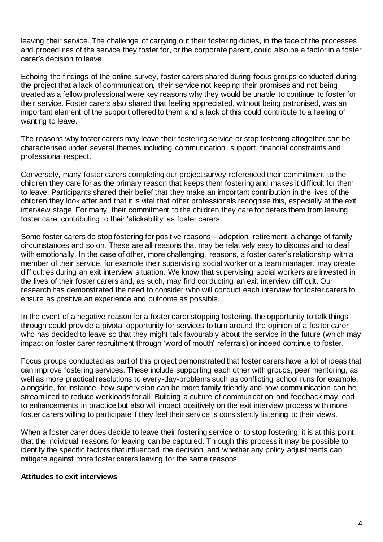leaving their service. The challenge of carrying out their fostering duties, in the face of the processes and procedures of the service they foster for, or the corporate parent, could also be a factor in a foster carer's decision to leave.

Echoing the findings of the online survey, foster carers shared during focus groups conducted during the project that a lack of communication, their service not keeping their promises and not being treated as a fellow professional were key reasons why they would be unable to continue to foster for their service. Foster carers also shared that feeling appreciated, without being patronised, was an important element of the support offered to them and a lack of this could contribute to a feeling of wanting to leave.

The reasons why foster carers may leave their fostering service or stop fostering altogether can be characterised under several themes including communication, support, financial constraints and professional respect.

Conversely, many foster carers completing our project survey referenced their commitment to the children they care for as the primary reason that keeps them fostering and makes it difficult for them to leave. Participants shared their belief that they make an important contribution in the lives of the children they look after and that it is vital that other professionals recognise this, especially at the exit interview stage. For many, their commitment to the children they care for deters them from leaving foster care, contributing to their 'stickability' as foster carers.

Some foster carers do stop fostering for positive reasons – adoption, retirement, a change of family circumstances and so on. These are all reasons that may be relatively easy to discuss and to deal with emotionally. In the case of other, more challenging, reasons, a foster carer's relationship with a member of their service, for example their supervising social worker or a team manager, may create difficulties during an exit interview situation. We know that supervising social workers are invested in the lives of their foster carers and, as such, may find conducting an exit interview difficult. Our research has demonstrated the need to consider who will conduct each interview for foster carers to ensure as positive an experience and outcome as possible.

In the event of a negative reason for a foster carer stopping fostering, the opportunity to talk things through could provide a pivotal opportunity for services to turn around the opinion of a foster carer who has decided to leave so that they might talk favourably about the service in the future (which may impact on foster carer recruitment through 'word of mouth' referrals) or indeed continue to foster.

Focus groups conducted as part of this project demonstrated that foster carers have a lot of ideas that can improve fostering services. These include supporting each other with groups, peer mentoring, as well as more practical resolutions to every-day-problems such as conflicting school runs for example, alongside, for instance, how supervision can be more family friendly and how communication can be streamlined to reduce workloads for all. Building a culture of communication and feedback may lead to enhancements in practice but also will impact positively on the exit interview process with more foster carers willing to participate if they feel their service is consistently listening to their views.

When a foster carer does decide to leave their fostering service or to stop fostering, it is at this point that the individual reasons for leaving can be captured. Through this process it may be possible to identify the specific factors that influenced the decision, and whether any policy adjustments can mitigate against more foster carers leaving for the same reasons.

### **Attitudes to exit interviews**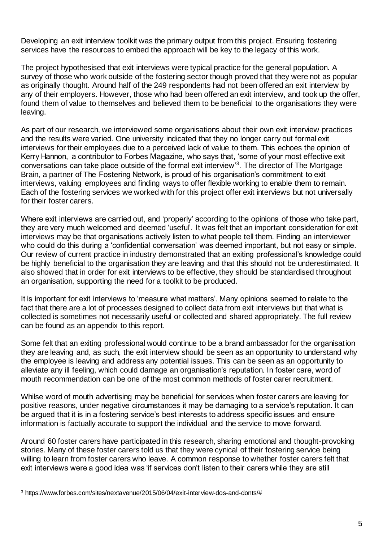Developing an exit interview toolkit was the primary output from this project. Ensuring fostering services have the resources to embed the approach will be key to the legacy of this work.

The project hypothesised that exit interviews were typical practice for the general population. A survey of those who work outside of the fostering sector though proved that they were not as popular as originally thought. Around half of the 249 respondents had not been offered an exit interview by any of their employers. However, those who had been offered an exit interview, and took up the offer, found them of value to themselves and believed them to be beneficial to the organisations they were leaving.

As part of our research, we interviewed some organisations about their own exit interview practices and the results were varied. One university indicated that they no longer carry out formal exit interviews for their employees due to a perceived lack of value to them. This echoes the opinion of Kerry Hannon, a contributor to Forbes Magazine, who says that, 'some of your most effective exit conversations can take place outside of the formal exit interview<sup>3</sup>. The director of The Mortgage Brain, a partner of The Fostering Network, is proud of his organisation's commitment to exit interviews, valuing employees and finding ways to offer flexible working to enable them to remain. Each of the fostering services we worked with for this project offer exit interviews but not universally for their foster carers.

Where exit interviews are carried out, and 'properly' according to the opinions of those who take part, they are very much welcomed and deemed 'useful'. It was felt that an important consideration for exit interviews may be that organisations actively listen to what people tell them. Finding an interviewer who could do this during a 'confidential conversation' was deemed important, but not easy or simple. Our review of current practice in industry demonstrated that an exiting professional's knowledge could be highly beneficial to the organisation they are leaving and that this should not be underestimated. It also showed that in order for exit interviews to be effective, they should be standardised throughout an organisation, supporting the need for a toolkit to be produced.

It is important for exit interviews to 'measure what matters'. Many opinions seemed to relate to the fact that there are a lot of processes designed to collect data from exit interviews but that what is collected is sometimes not necessarily useful or collected and shared appropriately. The full review can be found as an appendix to this report.

Some felt that an exiting professional would continue to be a brand ambassador for the organisation they are leaving and, as such, the exit interview should be seen as an opportunity to understand why the employee is leaving and address any potential issues. This can be seen as an opportunity to alleviate any ill feeling, which could damage an organisation's reputation. In foster care, word of mouth recommendation can be one of the most common methods of foster carer recruitment.

Whilse word of mouth advertising may be beneficial for services when foster carers are leaving for positive reasons, under negative circumstances it may be damaging to a service's reputation. It can be argued that it is in a fostering service's best interests to address specific issues and ensure information is factually accurate to support the individual and the service to move forward.

Around 60 foster carers have participated in this research, sharing emotional and thought-provoking stories. Many of these foster carers told us that they were cynical of their fostering service being willing to learn from foster carers who leave. A common response to whether foster carers felt that exit interviews were a good idea was 'if services don't listen to their carers while they are still

l

<sup>3</sup> https://www.forbes.com/sites/nextavenue/2015/06/04/exit-interview-dos-and-donts/#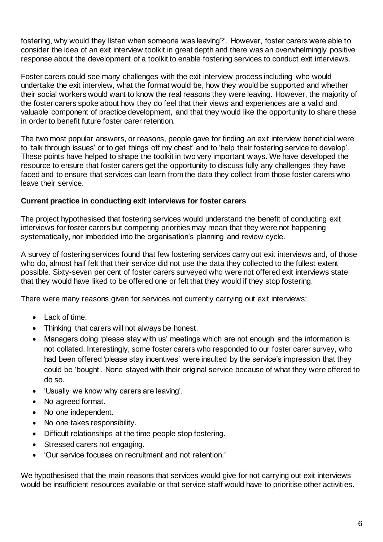fostering, why would they listen when someone was leaving?'. However, foster carers were able to consider the idea of an exit interview toolkit in great depth and there was an overwhelmingly positive response about the development of a toolkit to enable fostering services to conduct exit interviews.

Foster carers could see many challenges with the exit interview process including who would undertake the exit interview, what the format would be, how they would be supported and whether their social workers would want to know the real reasons they were leaving. However, the majority of the foster carers spoke about how they do feel that their views and experiences are a valid and valuable component of practice development, and that they would like the opportunity to share these in order to benefit future foster carer retention.

The two most popular answers, or reasons, people gave for finding an exit interview beneficial were to 'talk through issues' or to get 'things off my chest' and to 'help their fostering service to develop'. These points have helped to shape the toolkit in two very important ways. We have developed the resource to ensure that foster carers get the opportunity to discuss fully any challenges they have faced and to ensure that services can learn from the data they collect from those foster carers who leave their service.

### **Current practice in conducting exit interviews for foster carers**

The project hypothesised that fostering services would understand the benefit of conducting exit interviews for foster carers but competing priorities may mean that they were not happening systematically, nor imbedded into the organisation's planning and review cycle.

A survey of fostering services found that few fostering services carry out exit interviews and, of those who do, almost half felt that their service did not use the data they collected to the fullest extent possible. Sixty-seven per cent of foster carers surveyed who were not offered exit interviews state that they would have liked to be offered one or felt that they would if they stop fostering.

There were many reasons given for services not currently carrying out exit interviews:

- Lack of time.
- Thinking that carers will not always be honest.
- Managers doing 'please stay with us' meetings which are not enough and the information is not collated. Interestingly, some foster carers who responded to our foster carer survey, who had been offered 'please stay incentives' were insulted by the service's impression that they could be 'bought'. None stayed with their original service because of what they were offered to do so.
- 'Usually we know why carers are leaving'.
- No agreed format.
- No one independent.
- No one takes responsibility.
- Difficult relationships at the time people stop fostering.
- Stressed carers not engaging.
- 'Our service focuses on recruitment and not retention.'

We hypothesised that the main reasons that services would give for not carrying out exit interviews would be insufficient resources available or that service staff would have to prioritise other activities.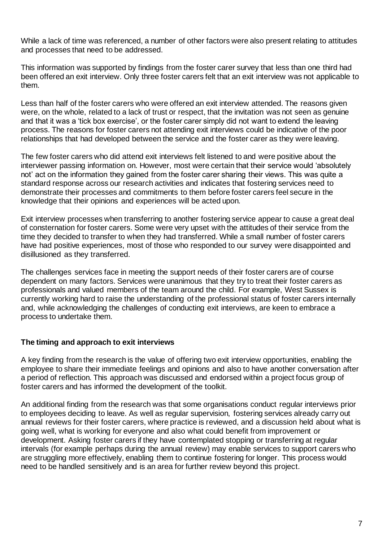While a lack of time was referenced, a number of other factors were also present relating to attitudes and processes that need to be addressed.

This information was supported by findings from the foster carer survey that less than one third had been offered an exit interview. Only three foster carers felt that an exit interview was not applicable to them.

Less than half of the foster carers who were offered an exit interview attended. The reasons given were, on the whole, related to a lack of trust or respect, that the invitation was not seen as genuine and that it was a 'tick box exercise', or the foster carer simply did not want to extend the leaving process. The reasons for foster carers not attending exit interviews could be indicative of the poor relationships that had developed between the service and the foster carer as they were leaving.

The few foster carers who did attend exit interviews felt listened to and were positive about the interviewer passing information on. However, most were certain that their service would 'absolutely not' act on the information they gained from the foster carer sharing their views. This was quite a standard response across our research activities and indicates that fostering services need to demonstrate their processes and commitments to them before foster carers feel secure in the knowledge that their opinions and experiences will be acted upon.

Exit interview processes when transferring to another fostering service appear to cause a great deal of consternation for foster carers. Some were very upset with the attitudes of their service from the time they decided to transfer to when they had transferred. While a small number of foster carers have had positive experiences, most of those who responded to our survey were disappointed and disillusioned as they transferred.

The challenges services face in meeting the support needs of their foster carers are of course dependent on many factors. Services were unanimous that they try to treat their foster carers as professionals and valued members of the team around the child. For example, West Sussex is currently working hard to raise the understanding of the professional status of foster carers internally and, while acknowledging the challenges of conducting exit interviews, are keen to embrace a process to undertake them.

### **The timing and approach to exit interviews**

A key finding from the research is the value of offering two exit interview opportunities, enabling the employee to share their immediate feelings and opinions and also to have another conversation after a period of reflection. This approach was discussed and endorsed within a project focus group of foster carers and has informed the development of the toolkit.

An additional finding from the research was that some organisations conduct regular interviews prior to employees deciding to leave. As well as regular supervision, fostering services already carry out annual reviews for their foster carers, where practice is reviewed, and a discussion held about what is going well, what is working for everyone and also what could benefit from improvement or development. Asking foster carers if they have contemplated stopping or transferring at regular intervals (for example perhaps during the annual review) may enable services to support carers who are struggling more effectively, enabling them to continue fostering for longer. This process would need to be handled sensitively and is an area for further review beyond this project.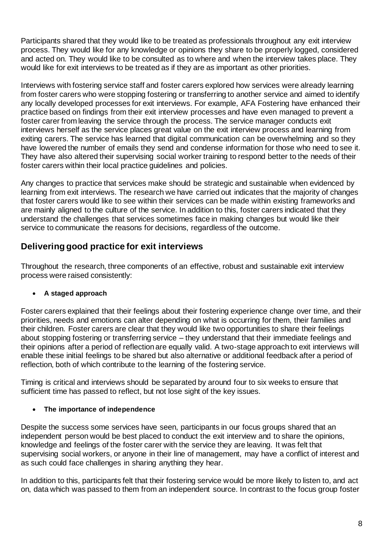Participants shared that they would like to be treated as professionals throughout any exit interview process. They would like for any knowledge or opinions they share to be properly logged, considered and acted on. They would like to be consulted as to where and when the interview takes place. They would like for exit interviews to be treated as if they are as important as other priorities.

Interviews with fostering service staff and foster carers explored how services were already learning from foster carers who were stopping fostering or transferring to another service and aimed to identify any locally developed processes for exit interviews. For example, AFA Fostering have enhanced their practice based on findings from their exit interview processes and have even managed to prevent a foster carer from leaving the service through the process. The service manager conducts exit interviews herself as the service places great value on the exit interview process and learning from exiting carers. The service has learned that digital communication can be overwhelming and so they have lowered the number of emails they send and condense information for those who need to see it. They have also altered their supervising social worker training to respond better to the needs of their foster carers within their local practice guidelines and policies.

Any changes to practice that services make should be strategic and sustainable when evidenced by learning from exit interviews. The research we have carried out indicates that the majority of changes that foster carers would like to see within their services can be made within existing frameworks and are mainly aligned to the culture of the service. In addition to this, foster carers indicated that they understand the challenges that services sometimes face in making changes but would like their service to communicate the reasons for decisions, regardless of the outcome.

## **Delivering good practice for exit interviews**

Throughout the research, three components of an effective, robust and sustainable exit interview process were raised consistently:

### • **A staged approach**

Foster carers explained that their feelings about their fostering experience change over time, and their priorities, needs and emotions can alter depending on what is occurring for them, their families and their children. Foster carers are clear that they would like two opportunities to share their feelings about stopping fostering or transferring service – they understand that their immediate feelings and their opinions after a period of reflection are equally valid. A two-stage approach to exit interviews will enable these initial feelings to be shared but also alternative or additional feedback after a period of reflection, both of which contribute to the learning of the fostering service.

Timing is critical and interviews should be separated by around four to six weeks to ensure that sufficient time has passed to reflect, but not lose sight of the key issues.

### • **The importance of independence**

Despite the success some services have seen, participants in our focus groups shared that an independent person would be best placed to conduct the exit interview and to share the opinions, knowledge and feelings of the foster carer with the service they are leaving. It was felt that supervising social workers, or anyone in their line of management, may have a conflict of interest and as such could face challenges in sharing anything they hear.

In addition to this, participants felt that their fostering service would be more likely to listen to, and act on, data which was passed to them from an independent source. In contrast to the focus group foster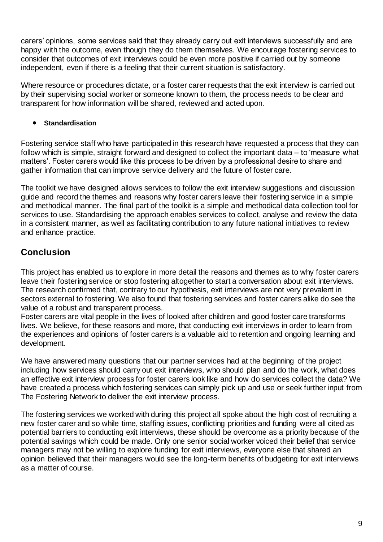carers' opinions, some services said that they already carry out exit interviews successfully and are happy with the outcome, even though they do them themselves. We encourage fostering services to consider that outcomes of exit interviews could be even more positive if carried out by someone independent, even if there is a feeling that their current situation is satisfactory.

Where resource or procedures dictate, or a foster carer requests that the exit interview is carried out by their supervising social worker or someone known to them, the process needs to be clear and transparent for how information will be shared, reviewed and acted upon.

### • **Standardisation**

Fostering service staff who have participated in this research have requested a process that they can follow which is simple, straight forward and designed to collect the important data – to 'measure what matters'. Foster carers would like this process to be driven by a professional desire to share and gather information that can improve service delivery and the future of foster care.

The toolkit we have designed allows services to follow the exit interview suggestions and discussion guide and record the themes and reasons why foster carers leave their fostering service in a simple and methodical manner. The final part of the toolkit is a simple and methodical data collection tool for services to use. Standardising the approach enables services to collect, analyse and review the data in a consistent manner, as well as facilitating contribution to any future national initiatives to review and enhance practice.

## **Conclusion**

This project has enabled us to explore in more detail the reasons and themes as to why foster carers leave their fostering service or stop fostering altogether to start a conversation about exit interviews. The research confirmed that, contrary to our hypothesis, exit interviews are not very prevalent in sectors external to fostering. We also found that fostering services and foster carers alike do see the value of a robust and transparent process.

Foster carers are vital people in the lives of looked after children and good foster care transforms lives. We believe, for these reasons and more, that conducting exit interviews in order to learn from the experiences and opinions of foster carers is a valuable aid to retention and ongoing learning and development.

We have answered many questions that our partner services had at the beginning of the project including how services should carry out exit interviews, who should plan and do the work, what does an effective exit interview process for foster carers look like and how do services collect the data? We have created a process which fostering services can simply pick up and use or seek further input from The Fostering Network to deliver the exit interview process.

The fostering services we worked with during this project all spoke about the high cost of recruiting a new foster carer and so while time, staffing issues, conflicting priorities and funding were all cited as potential barriers to conducting exit interviews, these should be overcome as a priority because of the potential savings which could be made. Only one senior social worker voiced their belief that service managers may not be willing to explore funding for exit interviews, everyone else that shared an opinion believed that their managers would see the long-term benefits of budgeting for exit interviews as a matter of course.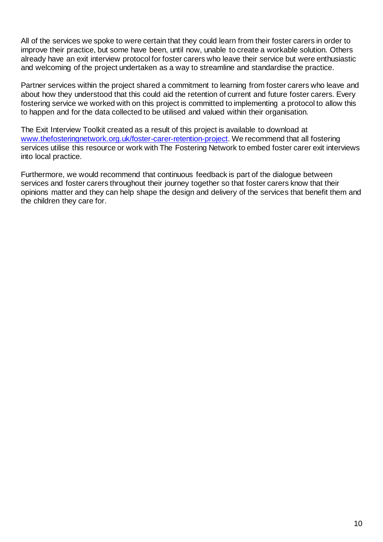All of the services we spoke to were certain that they could learn from their foster carers in order to improve their practice, but some have been, until now, unable to create a workable solution. Others already have an exit interview protocol for foster carers who leave their service but were enthusiastic and welcoming of the project undertaken as a way to streamline and standardise the practice.

Partner services within the project shared a commitment to learning from foster carers who leave and about how they understood that this could aid the retention of current and future foster carers. Every fostering service we worked with on this project is committed to implementing a protocol to allow this to happen and for the data collected to be utilised and valued within their organisation.

The Exit Interview Toolkit created as a result of this project is available to download at [www.thefosteringnetwork.org.uk/foster-carer-retention-project.](http://www.thefosteringnetwork.org.uk/foster-carer-retention-project) We recommend that all fostering services utilise this resource or work with The Fostering Network to embed foster carer exit interviews into local practice.

Furthermore, we would recommend that continuous feedback is part of the dialogue between services and foster carers throughout their journey together so that foster carers know that their opinions matter and they can help shape the design and delivery of the services that benefit them and the children they care for.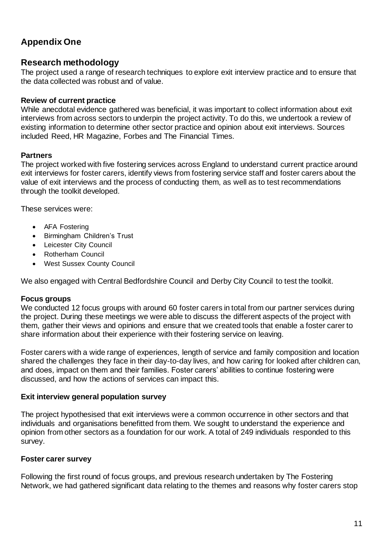## **Appendix One**

### **Research methodology**

The project used a range of research techniques to explore exit interview practice and to ensure that the data collected was robust and of value.

### **Review of current practice**

While anecdotal evidence gathered was beneficial, it was important to collect information about exit interviews from across sectors to underpin the project activity. To do this, we undertook a review of existing information to determine other sector practice and opinion about exit interviews. Sources included Reed, HR Magazine, Forbes and The Financial Times.

### **Partners**

The project worked with five fostering services across England to understand current practice around exit interviews for foster carers, identify views from fostering service staff and foster carers about the value of exit interviews and the process of conducting them, as well as to test recommendations through the toolkit developed.

These services were:

- AFA Fostering
- Birmingham Children's Trust
- Leicester City Council
- Rotherham Council
- West Sussex County Council

We also engaged with Central Bedfordshire Council and Derby City Council to test the toolkit.

### **Focus groups**

We conducted 12 focus groups with around 60 foster carers in total from our partner services during the project. During these meetings we were able to discuss the different aspects of the project with them, gather their views and opinions and ensure that we created tools that enable a foster carer to share information about their experience with their fostering service on leaving.

Foster carers with a wide range of experiences, length of service and family composition and location shared the challenges they face in their day-to-day lives, and how caring for looked after children can, and does, impact on them and their families. Foster carers' abilities to continue fostering were discussed, and how the actions of services can impact this.

### **Exit interview general population survey**

The project hypothesised that exit interviews were a common occurrence in other sectors and that individuals and organisations benefitted from them. We sought to understand the experience and opinion from other sectors as a foundation for our work. A total of 249 individuals responded to this survey.

### **Foster carer survey**

Following the first round of focus groups, and previous research undertaken by The Fostering Network, we had gathered significant data relating to the themes and reasons why foster carers stop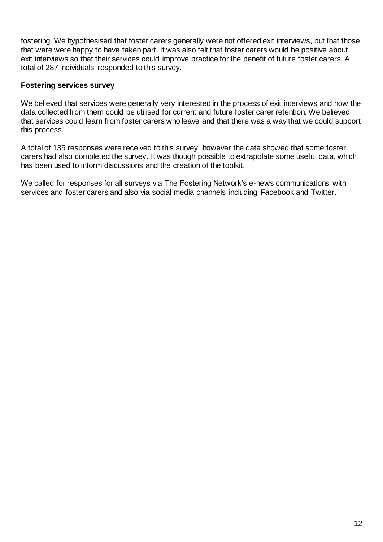fostering. We hypothesised that foster carers generally were not offered exit interviews, but that those that were were happy to have taken part. It was also felt that foster carers would be positive about exit interviews so that their services could improve practice for the benefit of future foster carers. A total of 287 individuals responded to this survey.

### **Fostering services survey**

We believed that services were generally very interested in the process of exit interviews and how the data collected from them could be utilised for current and future foster carer retention. We believed that services could learn from foster carers who leave and that there was a way that we could support this process.

A total of 135 responses were received to this survey, however the data showed that some foster carers had also completed the survey. It was though possible to extrapolate some useful data, which has been used to inform discussions and the creation of the toolkit.

We called for responses for all surveys via The Fostering Network's e-news communications with services and foster carers and also via social media channels including Facebook and Twitter.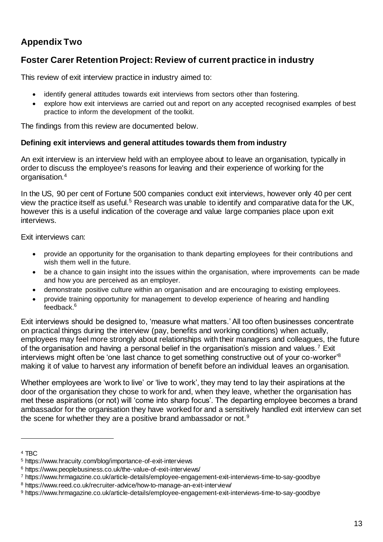## **Appendix Two**

## **Foster Carer Retention Project: Review of current practice in industry**

This review of exit interview practice in industry aimed to:

- identify general attitudes towards exit interviews from sectors other than fostering.
- explore how exit interviews are carried out and report on any accepted recognised examples of best practice to inform the development of the toolkit.

The findings from this review are documented below.

### **Defining exit interviews and general attitudes towards them from industry**

An exit interview is an interview held with an employee about to leave an organisation, typically in order to discuss the employee's reasons for leaving and their experience of working for the organisation.<sup>4</sup>

In the US, 90 per cent of Fortune 500 companies conduct exit interviews, however only 40 per cent view the practice itself as useful.<sup>5</sup> Research was unable to identify and comparative data for the UK, however this is a useful indication of the coverage and value large companies place upon exit interviews.

Exit interviews can:

- provide an opportunity for the organisation to thank departing employees for their contributions and wish them well in the future.
- be a chance to gain insight into the issues within the organisation, where improvements can be made and how you are perceived as an employer.
- demonstrate positive culture within an organisation and are encouraging to existing employees.
- provide training opportunity for management to develop experience of hearing and handling feedback.<sup>6</sup>

Exit interviews should be designed to, 'measure what matters.' All too often businesses concentrate on practical things during the interview (pay, benefits and working conditions) when actually, employees may feel more strongly about relationships with their managers and colleagues, the future of the organisation and having a personal belief in the organisation's mission and values.<sup>7</sup> Exit interviews might often be 'one last chance to get something constructive out of your co-worker'<sup>8</sup> making it of value to harvest any information of benefit before an individual leaves an organisation.

Whether employees are 'work to live' or 'live to work', they may tend to lay their aspirations at the door of the organisation they chose to work for and, when they leave, whether the organisation has met these aspirations (or not) will 'come into sharp focus'. The departing employee becomes a brand ambassador for the organisation they have worked for and a sensitively handled exit interview can set the scene for whether they are a positive brand ambassador or not.<sup>9</sup>

l

<sup>4</sup> TBC

<sup>5</sup> https://www.hracuity.com/blog/importance-of-exit-interviews

<sup>6</sup> https://www.peoplebusiness.co.uk/the-value-of-exit-interviews/

<sup>7</sup> https://www.hrmagazine.co.uk/article-details/employee-engagement-exit-interviews-time-to-say-goodbye

<sup>8</sup> https://www.reed.co.uk/recruiter-advice/how-to-manage-an-exit-interview/

<sup>9</sup> https://www.hrmagazine.co.uk/article-details/employee-engagement-exit-interviews-time-to-say-goodbye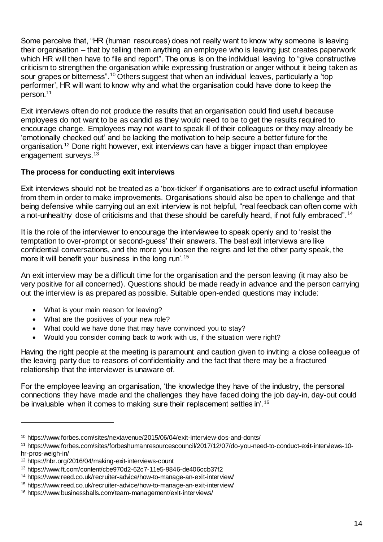Some perceive that, "HR (human resources) does not really want to know why someone is leaving their organisation – that by telling them anything an employee who is leaving just creates paperwork which HR will then have to file and report". The onus is on the individual leaving to "give constructive" criticism to strengthen the organisation while expressing frustration or anger without it being taken as sour grapes or bitterness".<sup>10</sup> Others suggest that when an individual leaves, particularly a 'top performer', HR will want to know why and what the organisation could have done to keep the person.<sup>11</sup>

Exit interviews often do not produce the results that an organisation could find useful because employees do not want to be as candid as they would need to be to get the results required to encourage change. Employees may not want to speak ill of their colleagues or they may already be 'emotionally checked out' and be lacking the motivation to help secure a better future for the organisation.<sup>12</sup> Done right however, exit interviews can have a bigger impact than employee engagement surveys.<sup>13</sup>

### **The process for conducting exit interviews**

Exit interviews should not be treated as a 'box-ticker' if organisations are to extract useful information from them in order to make improvements. Organisations should also be open to challenge and that being defensive while carrying out an exit interview is not helpful, "real feedback can often come with a not-unhealthy dose of criticisms and that these should be carefully heard, if not fully embraced".<sup>14</sup>

It is the role of the interviewer to encourage the interviewee to speak openly and to 'resist the temptation to over-prompt or second-guess' their answers. The best exit interviews are like confidential conversations, and the more you loosen the reigns and let the other party speak, the more it will benefit your business in the long run'.<sup>15</sup>

An exit interview may be a difficult time for the organisation and the person leaving (it may also be very positive for all concerned). Questions should be made ready in advance and the person carrying out the interview is as prepared as possible. Suitable open-ended questions may include:

- What is your main reason for leaving?
- What are the positives of your new role?
- What could we have done that may have convinced you to stay?
- Would you consider coming back to work with us, if the situation were right?

Having the right people at the meeting is paramount and caution given to inviting a close colleague of the leaving party due to reasons of confidentiality and the fact that there may be a fractured relationship that the interviewer is unaware of.

For the employee leaving an organisation, 'the knowledge they have of the industry, the personal connections they have made and the challenges they have faced doing the job day-in, day-out could be invaluable when it comes to making sure their replacement settles in'.<sup>16</sup>

l

<sup>10</sup> https://www.forbes.com/sites/nextavenue/2015/06/04/exit-interview-dos-and-donts/

<sup>11</sup> https://www.forbes.com/sites/forbeshumanresourcescouncil/2017/12/07/do-you-need-to-conduct-exit-interviews-10 hr-pros-weigh-in/

<sup>12</sup> https://hbr.org/2016/04/making-exit-interviews-count

<sup>13</sup> https://www.ft.com/content/cbe970d2-62c7-11e5-9846-de406ccb37f2

<sup>14</sup> https://www.reed.co.uk/recruiter-advice/how-to-manage-an-exit-interview/

<sup>15</sup> https://www.reed.co.uk/recruiter-advice/how-to-manage-an-exit-interview/

<sup>16</sup> https://www.businessballs.com/team-management/exit-interviews/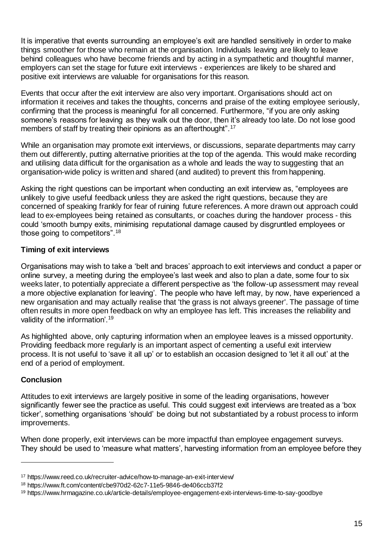It is imperative that events surrounding an employee's exit are handled sensitively in order to make things smoother for those who remain at the organisation. Individuals leaving are likely to leave behind colleagues who have become friends and by acting in a sympathetic and thoughtful manner, employers can set the stage for future exit interviews - experiences are likely to be shared and positive exit interviews are valuable for organisations for this reason.

Events that occur after the exit interview are also very important. Organisations should act on information it receives and takes the thoughts, concerns and praise of the exiting employee seriously, confirming that the process is meaningful for all concerned. Furthermore, "if you are only asking someone's reasons for leaving as they walk out the door, then it's already too late. Do not lose good members of staff by treating their opinions as an afterthought".<sup>17</sup>

While an organisation may promote exit interviews, or discussions, separate departments may carry them out differently, putting alternative priorities at the top of the agenda. This would make recording and utilising data difficult for the organisation as a whole and leads the way to suggesting that an organisation-wide policy is written and shared (and audited) to prevent this from happening.

Asking the right questions can be important when conducting an exit interview as, "employees are unlikely to give useful feedback unless they are asked the right questions, because they are concerned of speaking frankly for fear of ruining future references. A more drawn out approach could lead to ex-employees being retained as consultants, or coaches during the handover process - this could 'smooth bumpy exits, minimising reputational damage caused by disgruntled employees or those going to competitors".<sup>18</sup>

### **Timing of exit interviews**

Organisations may wish to take a 'belt and braces' approach to exit interviews and conduct a paper or online survey, a meeting during the employee's last week and also to plan a date, some four to six weeks later, to potentially appreciate a different perspective as 'the follow-up assessment may reveal a more objective explanation for leaving'. The people who have left may, by now, have experienced a new organisation and may actually realise that 'the grass is not always greener'. The passage of time often results in more open feedback on why an employee has left. This increases the reliability and validity of the information'.<sup>19</sup>

As highlighted above, only capturing information when an employee leaves is a missed opportunity. Providing feedback more regularly is an important aspect of cementing a useful exit interview process. It is not useful to 'save it all up' or to establish an occasion designed to 'let it all out' at the end of a period of employment.

### **Conclusion**

l

Attitudes to exit interviews are largely positive in some of the leading organisations, however significantly fewer see the practice as useful. This could suggest exit interviews are treated as a 'box ticker', something organisations 'should' be doing but not substantiated by a robust process to inform improvements.

When done properly, exit interviews can be more impactful than employee engagement surveys. They should be used to 'measure what matters', harvesting information from an employee before they

<sup>17</sup> https://www.reed.co.uk/recruiter-advice/how-to-manage-an-exit-interview/

<sup>18</sup> https://www.ft.com/content/cbe970d2-62c7-11e5-9846-de406ccb37f2

<sup>19</sup> https://www.hrmagazine.co.uk/article-details/employee-engagement-exit-interviews-time-to-say-goodbye